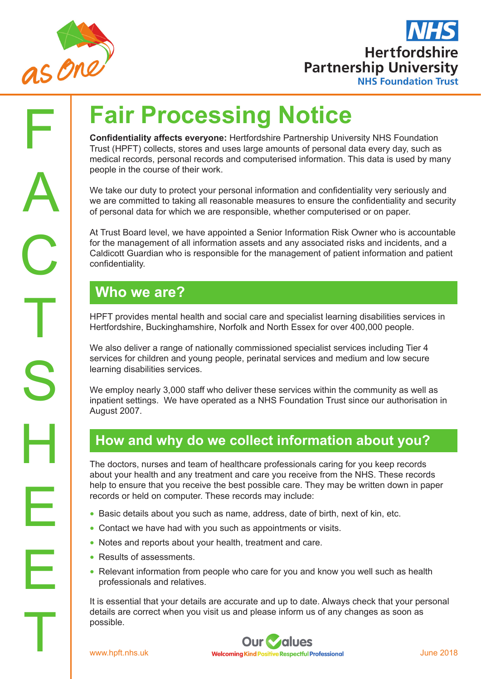



# **Fair Processing Notice**

**Confidentiality affects everyone:** Hertfordshire Partnership University NHS Foundation Trust (HPFT) collects, stores and uses large amounts of personal data every day, such as medical records, personal records and computerised information. This data is used by many people in the course of their work.

We take our duty to protect your personal information and confidentiality very seriously and we are committed to taking all reasonable measures to ensure the confidentiality and security of personal data for which we are responsible, whether computerised or on paper.

At Trust Board level, we have appointed a Senior Information Risk Owner who is accountable for the management of all information assets and any associated risks and incidents, and a Caldicott Guardian who is responsible for the management of patient information and patient confidentiality.

# **Who we are?**

HPFT provides mental health and social care and specialist learning disabilities services in Hertfordshire, Buckinghamshire, Norfolk and North Essex for over 400,000 people.

We also deliver a range of nationally commissioned specialist services including Tier 4 services for children and young people, perinatal services and medium and low secure learning disabilities services.

We employ nearly 3,000 staff who deliver these services within the community as well as inpatient settings. We have operated as a NHS Foundation Trust since our authorisation in August 2007.

#### **How and why do we collect information about you?**

The doctors, nurses and team of healthcare professionals caring for you keep records about your health and any treatment and care you receive from the NHS. These records help to ensure that you receive the best possible care. They may be written down in paper records or held on computer. These records may include:

- Basic details about you such as name, address, date of birth, next of kin, etc.
- Contact we have had with you such as appointments or visits.
- Notes and reports about your health, treatment and care.
- Results of assessments.
- Relevant information from people who care for you and know you well such as health professionals and relatives.

details are corresponding<br>the possible.<br>www.hpft.nhs.uk It is essential that your details are accurate and up to date. Always check that your personal details are correct when you visit us and please inform us of any changes as soon as possible.

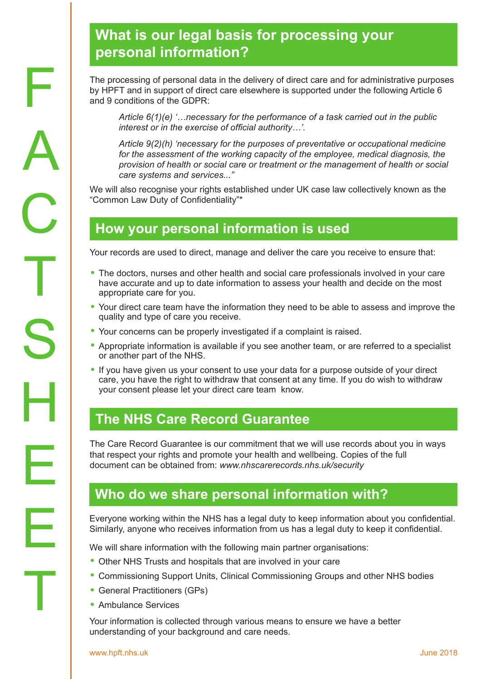# **What is our legal basis for processing your personal information?**

The processing of personal data in the delivery of direct care and for administrative purposes by HPFT and in support of direct care elsewhere is supported under the following Article 6 and 9 conditions of the GDPR:

*Article 6(1)(e) '…necessary for the performance of a task carried out in the public interest or in the exercise of official authority…'.*

*Article 9(2)(h) 'necessary for the purposes of preventative or occupational medicine for the assessment of the working capacity of the employee, medical diagnosis, the provision of health or social care or treatment or the management of health or social care systems and services..."* 

We will also recognise your rights established under UK case law collectively known as the "Common Law Duty of Confidentiality"\*

## **How your personal information is used**

Your records are used to direct, manage and deliver the care you receive to ensure that:

- The doctors, nurses and other health and social care professionals involved in your care have accurate and up to date information to assess your health and decide on the most appropriate care for you.
- Your direct care team have the information they need to be able to assess and improve the quality and type of care you receive.
- Your concerns can be properly investigated if a complaint is raised.
- Appropriate information is available if you see another team, or are referred to a specialist or another part of the NHS.
- If you have given us your consent to use your data for a purpose outside of your direct care, you have the right to withdraw that consent at any time. If you do wish to withdraw your consent please let your direct care team know.

## **The NHS Care Record Guarantee**

The Care Record Guarantee is our commitment that we will use records about you in ways that respect your rights and promote your health and wellbeing. Copies of the full document can be obtained from: *www.nhscarerecords.nhs.uk/security*

## **Who do we share personal information with?**

Everyone working within the NHS has a legal duty to keep information about you confidential. Similarly, anyone who receives information from us has a legal duty to keep it confidential.

We will share information with the following main partner organisations:

- Other NHS Trusts and hospitals that are involved in your care
- Commissioning Support Units, Clinical Commissioning Groups and other NHS bodies
- General Practitioners (GPs)
- Ambulance Services

Your information is collected through various means to ensure we have a better understanding of your background and care needs.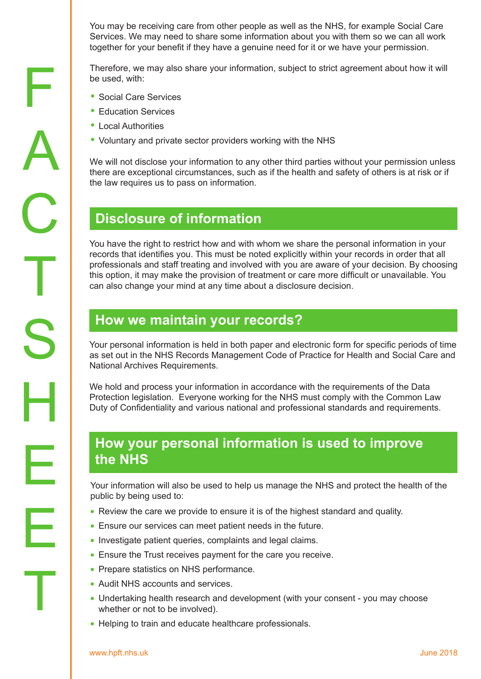You may be receiving care from other people as well as the NHS, for example Social Care Services. We may need to share some information about you with them so we can all work together for your benefit if they have a genuine need for it or we have your permission.

Therefore, we may also share your information, subject to strict agreement about how it will be used, with:

- Social Care Services
- Education Services
- Local Authorities

F

A

C

T

S

H

E

E

T

• Voluntary and private sector providers working with the NHS

We will not disclose your information to any other third parties without your permission unless there are exceptional circumstances, such as if the health and safety of others is at risk or if the law requires us to pass on information.

#### **Disclosure of information**

You have the right to restrict how and with whom we share the personal information in your records that identifies you. This must be noted explicitly within your records in order that all professionals and staff treating and involved with you are aware of your decision. By choosing this option, it may make the provision of treatment or care more difficult or unavailable. You can also change your mind at any time about a disclosure decision.

#### **How we maintain your records?**

Your personal information is held in both paper and electronic form for specific periods of time as set out in the NHS Records Management Code of Practice for Health and Social Care and National Archives Requirements.

We hold and process your information in accordance with the requirements of the Data Protection legislation. Everyone working for the NHS must comply with the Common Law Duty of Confidentiality and various national and professional standards and requirements.

## **How your personal information is used to improve the NHS**

Your information will also be used to help us manage the NHS and protect the health of the public by being used to:

- Review the care we provide to ensure it is of the highest standard and quality.
- Ensure our services can meet patient needs in the future.
- Investigate patient queries, complaints and legal claims.
- Ensure the Trust receives payment for the care you receive.
- Prepare statistics on NHS performance.
- Audit NHS accounts and services.
- Undertaking health research and development (with your consent you may choose whether or not to be involved).
- Helping to train and educate healthcare professionals.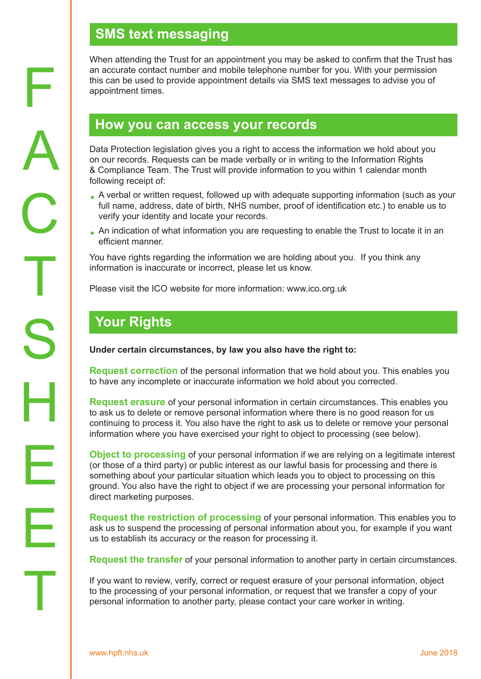# **SMS text messaging**

When attending the Trust for an appointment you may be asked to confirm that the Trust has an accurate contact number and mobile telephone number for you. With your permission this can be used to provide appointment details via SMS text messages to advise you of appointment times.

#### **How you can access your records**

Data Protection legislation gives you a right to access the information we hold about you on our records. Requests can be made verbally or in writing to the Information Rights & Compliance Team. The Trust will provide information to you within 1 calendar month following receipt of:

- A verbal or written request, followed up with adequate supporting information (such as your<br>full name, address, data of birth, NHS number, press of identification ato ) to enable us to full name, address, date of birth, NHS number, proof of identification etc.) to enable us to verify your identity and locate your records.
- An indication of what information you are requesting to enable the Trust to locate it in an afficient menner efficient manner.

You have rights regarding the information we are holding about you. If you think any information is inaccurate or incorrect, please let us know.

Please visit the ICO website for more information: www.ico.org.uk

## **Your Rights**

**Under certain circumstances, by law you also have the right to:** 

**Request correction** of the personal information that we hold about you. This enables you to have any incomplete or inaccurate information we hold about you corrected.

**Request erasure** of your personal information in certain circumstances. This enables you to ask us to delete or remove personal information where there is no good reason for us continuing to process it. You also have the right to ask us to delete or remove your personal information where you have exercised your right to object to processing (see below).

**Object to processing** of your personal information if we are relying on a legitimate interest (or those of a third party) or public interest as our lawful basis for processing and there is something about your particular situation which leads you to object to processing on this ground. You also have the right to object if we are processing your personal information for direct marketing purposes.

**Request the restriction of processing** of your personal information. This enables you to ask us to suspend the processing of personal information about you, for example if you want us to establish its accuracy or the reason for processing it.

**Request the transfer** of your personal information to another party in certain circumstances.

If you want to review, verify, correct or request erasure of your personal information, object to the processing of your personal information, or request that we transfer a copy of your personal information to another party, please contact your care worker in writing.